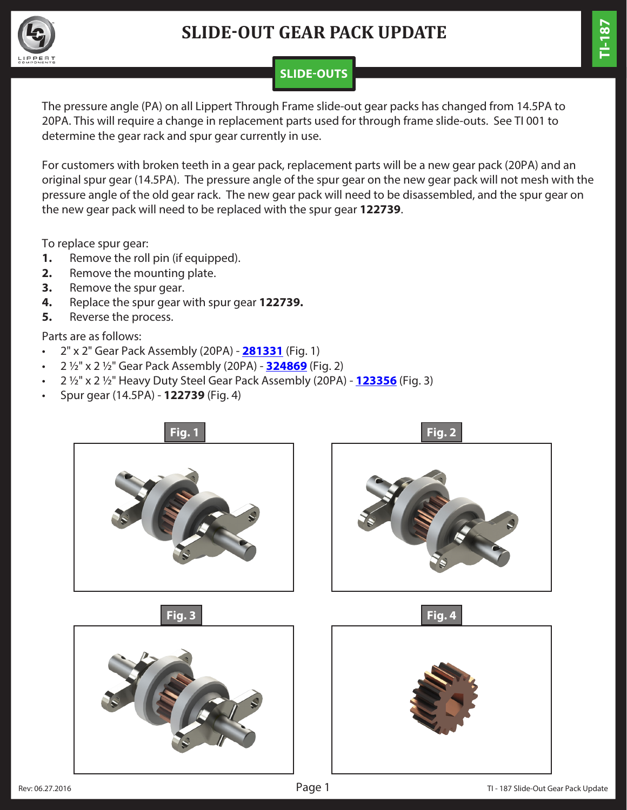

## **SLIDE-OUT GEAR PACK UPDATE**

# **TI-187**

#### **SLIDE-OUTS**

The pressure angle (PA) on all Lippert Through Frame slide-out gear packs has changed from 14.5PA to 20PA. This will require a change in replacement parts used for through frame slide-outs. See TI 001 to determine the gear rack and spur gear currently in use.

For customers with broken teeth in a gear pack, replacement parts will be a new gear pack (20PA) and an original spur gear (14.5PA). The pressure angle of the spur gear on the new gear pack will not mesh with the pressure angle of the old gear rack. The new gear pack will need to be disassembled, and the spur gear on the new gear pack will need to be replaced with the spur gear **122739**.

To replace spur gear:

- **1.** Remove the roll pin (if equipped).
- **2.** Remove the mounting plate.
- **3.** Remove the spur gear.
- **4.** Replace the spur gear with spur gear **122739.**
- **5.** Reverse the process.

Parts are as follows:

- 2" x 2" Gear Pack Assembly (20PA) **[281331](https://store.lci1.com/gear-packs-for-slide-out-mechanisms-p193)** (Fig. 1)
- 2 1/2" x 2 1/2" Gear Pack Assembly (20PA) **[324869](https://store.lci1.com/gear-packs-for-slide-out-mechanisms-p193)** (Fig. 2)
- 2 1/2" x 2 1/2" Heavy Duty Steel Gear Pack Assembly (20PA) **[123356](https://store.lci1.com/gear-packs-for-slide-out-mechanisms-p193)** (Fig. 3)
- Spur gear (14.5PA) - **122739** (Fig. 4)

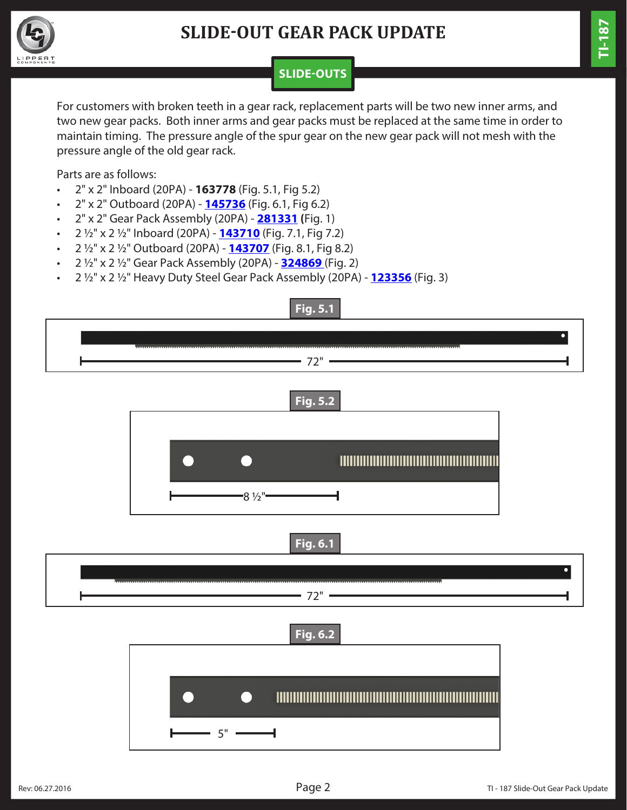

## **SLIDE-OUT GEAR PACK UPDATE**

### **SLIDE-OUTS**

For customers with broken teeth in a gear rack, replacement parts will be two new inner arms, and two new gear packs. Both inner arms and gear packs must be replaced at the same time in order to maintain timing. The pressure angle of the spur gear on the new gear pack will not mesh with the pressure angle of the old gear rack.

Parts are as follows:

- 2" x 2" Inboard (20PA) **163778** (Fig. 5.1, Fig 5.2)
- 2" x 2" Outboard (20PA) **[145736](https://store.lci1.com/2x2-outboard-inner-tube-assembly)** (Fig. 6.1, Fig 6.2)
- 2" x 2" Gear Pack Assembly (20PA) **[281331](https://store.lci1.com/gear-packs-for-slide-out-mechanisms-p193) (**Fig. 1)
- 2 1/2" x 2 1/2" Inboard (20PA) **[143710](https://store.lci1.com/inboard-inner-tube-assembly)** (Fig. 7.1, Fig 7.2)
- 2 1/2" x 2 1/2" Outboard (20PA) **[143707](https://store.lci1.com/outboard-inner-tube-assembly)** (Fig. 8.1, Fig 8.2)
- 2 1/2" x 2 1/2" Gear Pack Assembly (20PA) **[324869](https://store.lci1.com/gear-packs-for-slide-out-mechanisms-p193)** (Fig. 2)
- 2 1/2" x 2 1/2" Heavy Duty Steel Gear Pack Assembly (20PA) **[123356](https://store.lci1.com/gear-packs-for-slide-out-mechanisms-p193)** (Fig. 3)